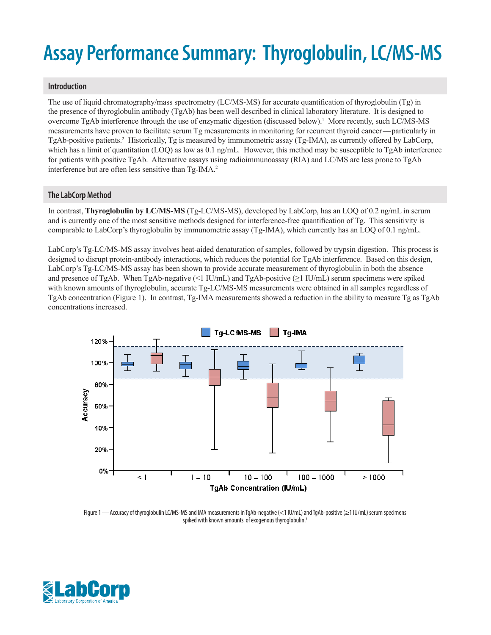# **Assay Performance Summary: Thyroglobulin, LC/MS-MS**

### **Introduction**

The use of liquid chromatography/mass spectrometry (LC/MS-MS) for accurate quantification of thyroglobulin (Tg) in the presence of thyroglobulin antibody (TgAb) has been well described in clinical laboratory literature. It is designed to overcome TgAb interference through the use of enzymatic digestion (discussed below).<sup>1</sup> More recently, such LC/MS-MS measurements have proven to facilitate serum Tg measurements in monitoring for recurrent thyroid cancer—particularly in TgAb-positive patients.<sup>2</sup> Historically, Tg is measured by immunometric assay (Tg-IMA), as currently offered by LabCorp, which has a limit of quantitation (LOQ) as low as 0.1 ng/mL. However, this method may be susceptible to TgAb interference for patients with positive TgAb. Alternative assays using radioimmunoassay (RIA) and LC/MS are less prone to TgAb interference but are often less sensitive than Tg-IMA.<sup>2</sup>

# **The LabCorp Method**

In contrast, **Thyroglobulin by LC/MS-MS** (Tg-LC/MS-MS), developed by LabCorp, has an LOQ of 0.2 ng/mL in serum and is currently one of the most sensitive methods designed for interference-free quantification of Tg. This sensitivity is comparable to LabCorp's thyroglobulin by immunometric assay (Tg-IMA), which currently has an LOQ of 0.1 ng/mL.

LabCorp's Tg-LC/MS-MS assay involves heat-aided denaturation of samples, followed by trypsin digestion. This process is designed to disrupt protein-antibody interactions, which reduces the potential for TgAb interference. Based on this design, LabCorp's Tg-LC/MS-MS assay has been shown to provide accurate measurement of thyroglobulin in both the absence and presence of TgAb. When TgAb-negative (<1 IU/mL) and TgAb-positive (≥1 IU/mL) serum specimens were spiked with known amounts of thyroglobulin, accurate Tg-LC/MS-MS measurements were obtained in all samples regardless of TgAb concentration (Figure 1). In contrast, Tg-IMA measurements showed a reduction in the ability to measure Tg as TgAb concentrations increased.



Figure 1—Accuracy of thyroglobulin LC/MS-MS and IMA measurements in TgAb-negative (<1 IU/mL) and TgAb-positive (≥1 IU/mL) serum specimens spiked with known amounts of exogenous thyroglobulin.<sup>3</sup>